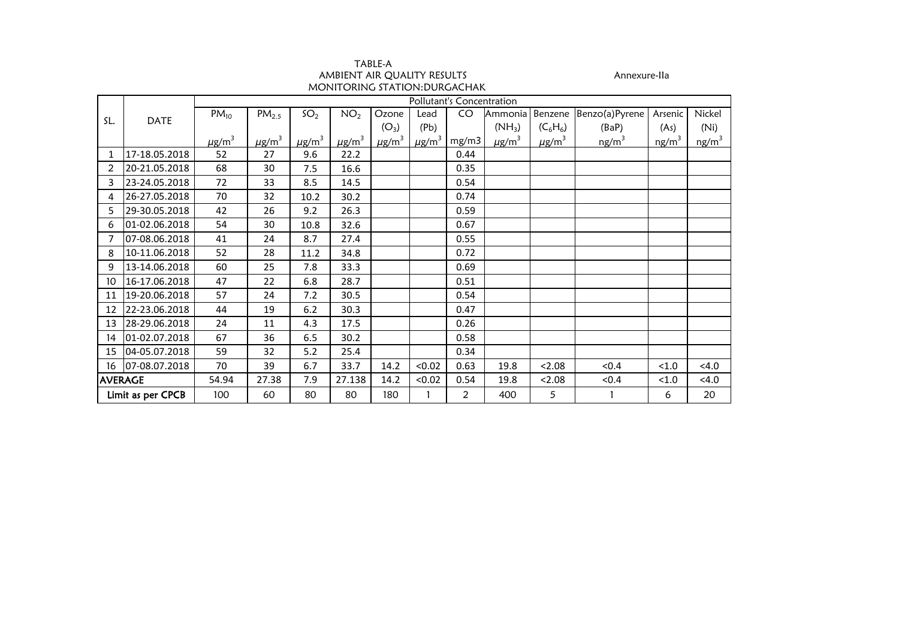| TABLE-A                       |              |
|-------------------------------|--------------|
| AMBIENT AIR OUALITY RESULTS   | Annexure-Ila |
| MONITORING STATION: DURGACHAK |              |

|                |                   | Pollutant's Concentration |                        |                        |                        |                        |                        |                |                        |                        |                   |          |                   |  |  |
|----------------|-------------------|---------------------------|------------------------|------------------------|------------------------|------------------------|------------------------|----------------|------------------------|------------------------|-------------------|----------|-------------------|--|--|
|                |                   | $PM_{10}$                 | PM <sub>2.5</sub>      | SO <sub>2</sub>        | NO <sub>2</sub>        | Ozone                  | Lead                   | CO             | Ammonia                | Benzene                | Benzo(a)Pyrene    | Arsenic  | Nickel            |  |  |
| SL.            | <b>DATE</b>       |                           |                        |                        |                        | $(O_3)$                | (Pb)                   |                | $(NH_3)$               | $(C_6H_6)$             | (BaP)             | (As)     | (Ni)              |  |  |
|                |                   | $\mu$ g/m <sup>3</sup>    | $\mu$ g/m <sup>3</sup> | $\mu$ g/m <sup>3</sup> | $\mu$ g/m <sup>3</sup> | $\mu$ g/m <sup>3</sup> | $\mu$ g/m <sup>3</sup> | mg/m3          | $\mu$ g/m <sup>3</sup> | $\mu$ g/m <sup>3</sup> | ng/m <sup>3</sup> | $ng/m^3$ | ng/m <sup>3</sup> |  |  |
| 1              | 17-18.05.2018     | 52                        | 27                     | 9.6                    | 22.2                   |                        |                        | 0.44           |                        |                        |                   |          |                   |  |  |
| $\overline{2}$ | 20-21.05.2018     | 68                        | 30                     | 7.5                    | 16.6                   |                        |                        | 0.35           |                        |                        |                   |          |                   |  |  |
| 3              | 23-24.05.2018     | 72                        | 33                     | 8.5                    | 14.5                   |                        |                        | 0.54           |                        |                        |                   |          |                   |  |  |
| 4              | 26-27.05.2018     | 70                        | 32                     | 10.2                   | 30.2                   |                        |                        | 0.74           |                        |                        |                   |          |                   |  |  |
| 5              | 29-30.05.2018     | 42                        | 26                     | 9.2                    | 26.3                   |                        |                        | 0.59           |                        |                        |                   |          |                   |  |  |
| 6              | 01-02.06.2018     | 54                        | 30                     | 10.8                   | 32.6                   |                        |                        | 0.67           |                        |                        |                   |          |                   |  |  |
| 7              | 07-08.06.2018     | 41                        | 24                     | 8.7                    | 27.4                   |                        |                        | 0.55           |                        |                        |                   |          |                   |  |  |
| 8              | 10-11.06.2018     | 52                        | 28                     | 11.2                   | 34.8                   |                        |                        | 0.72           |                        |                        |                   |          |                   |  |  |
| 9              | 13-14.06.2018     | 60                        | 25                     | 7.8                    | 33.3                   |                        |                        | 0.69           |                        |                        |                   |          |                   |  |  |
| 10             | 16-17.06.2018     | 47                        | 22                     | 6.8                    | 28.7                   |                        |                        | 0.51           |                        |                        |                   |          |                   |  |  |
| 11             | 19-20.06.2018     | 57                        | 24                     | 7.2                    | 30.5                   |                        |                        | 0.54           |                        |                        |                   |          |                   |  |  |
| 12             | 22-23.06.2018     | 44                        | 19                     | 6.2                    | 30.3                   |                        |                        | 0.47           |                        |                        |                   |          |                   |  |  |
| 13             | 28-29.06.2018     | 24                        | 11                     | 4.3                    | 17.5                   |                        |                        | 0.26           |                        |                        |                   |          |                   |  |  |
| 14             | 01-02.07.2018     | 67                        | 36                     | 6.5                    | 30.2                   |                        |                        | 0.58           |                        |                        |                   |          |                   |  |  |
| 15             | 04-05.07.2018     | 59                        | 32                     | 5.2                    | 25.4                   |                        |                        | 0.34           |                        |                        |                   |          |                   |  |  |
| 16             | 07-08.07.2018     | 70                        | 39                     | 6.7                    | 33.7                   | 14.2                   | < 0.02                 | 0.63           | 19.8                   | < 2.08                 | < 0.4             | < 1.0    | < 4.0             |  |  |
|                | <b>AVERAGE</b>    | 54.94                     | 27.38                  | 7.9                    | 27.138                 | 14.2                   | < 0.02                 | 0.54           | 19.8                   | < 2.08                 | < 0.4             | < 1.0    | < 4.0             |  |  |
|                | Limit as per CPCB | 100                       | 60                     | 80                     | 80                     | 180                    |                        | $\overline{2}$ | 400                    | 5                      |                   | 6        | 20                |  |  |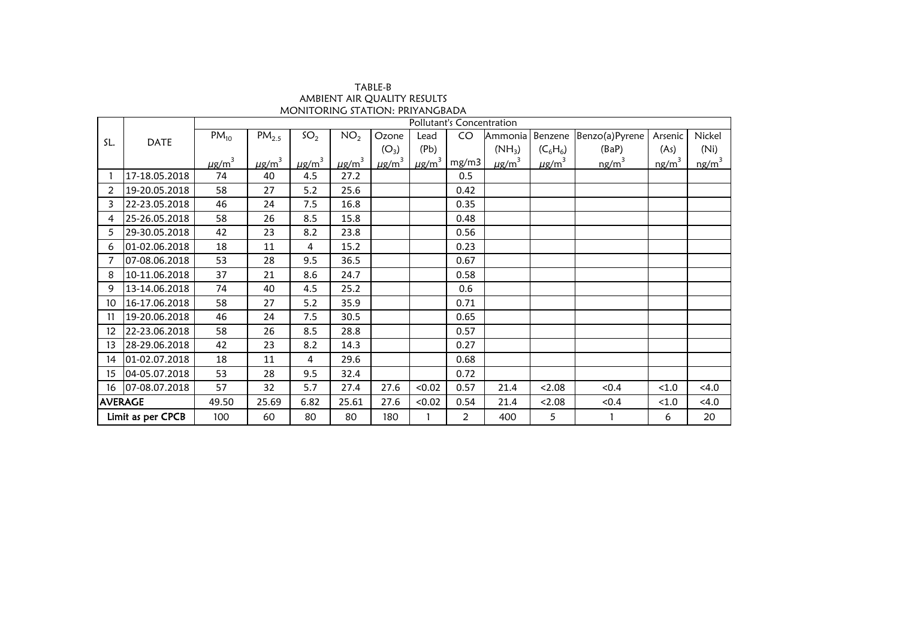| TABLE-B                         |
|---------------------------------|
| AMBIENT AIR QUALITY RESULTS     |
| MONITORING STATION: PRIYANGBADA |

|                |                   |                        |                           |                        | AVIDILIVI AIK QUALITI KLJULIJ<br>MONITORING STATION: PRIYANGBADA |                        |                        |                |                        |                        |                |          |          |  |  |  |
|----------------|-------------------|------------------------|---------------------------|------------------------|------------------------------------------------------------------|------------------------|------------------------|----------------|------------------------|------------------------|----------------|----------|----------|--|--|--|
|                |                   |                        | Pollutant's Concentration |                        |                                                                  |                        |                        |                |                        |                        |                |          |          |  |  |  |
| SL.            | <b>DATE</b>       | $PM_{10}$              | PM <sub>2.5</sub>         | SO <sub>2</sub>        | NO <sub>2</sub>                                                  | Ozone                  | Lead                   | CO             | Ammonia                | Benzene                | Benzo(a)Pyrene | Arsenic  | Nickel   |  |  |  |
|                |                   |                        |                           |                        |                                                                  | $(O_3)$                | (Pb)                   |                | $(NH_3)$               | $(C_6H_6)$             | (BaP)          | (As)     | (Ni)     |  |  |  |
|                |                   | $\mu$ g/m <sup>3</sup> | $\mu$ g/m <sup>3</sup>    | $\mu$ g/m <sup>3</sup> | $\mu$ g/m <sup>3</sup>                                           | $\mu$ g/m <sup>3</sup> | $\mu$ g/m <sup>3</sup> | mg/m3          | $\mu$ g/m <sup>3</sup> | $\mu$ g/m <sup>3</sup> | $ng/m^3$       | $ng/m^3$ | $ng/m^3$ |  |  |  |
|                | 17-18.05.2018     | 74                     | 40                        | 4.5                    | 27.2                                                             |                        |                        | 0.5            |                        |                        |                |          |          |  |  |  |
| 2              | 19-20.05.2018     | 58                     | 27                        | 5.2                    | 25.6                                                             |                        |                        | 0.42           |                        |                        |                |          |          |  |  |  |
| 3              | 22-23.05.2018     | 46                     | 24                        | 7.5                    | 16.8                                                             |                        |                        | 0.35           |                        |                        |                |          |          |  |  |  |
| 4              | 25-26.05.2018     | 58                     | 26                        | 8.5                    | 15.8                                                             |                        |                        | 0.48           |                        |                        |                |          |          |  |  |  |
| 5              | 29-30.05.2018     | 42                     | 23                        | 8.2                    | 23.8                                                             |                        |                        | 0.56           |                        |                        |                |          |          |  |  |  |
| 6              | 01-02.06.2018     | 18                     | 11                        | 4                      | 15.2                                                             |                        |                        | 0.23           |                        |                        |                |          |          |  |  |  |
|                | 07-08.06.2018     | 53                     | 28                        | 9.5                    | 36.5                                                             |                        |                        | 0.67           |                        |                        |                |          |          |  |  |  |
| 8              | 10-11.06.2018     | 37                     | 21                        | 8.6                    | 24.7                                                             |                        |                        | 0.58           |                        |                        |                |          |          |  |  |  |
| 9              | 13-14.06.2018     | 74                     | 40                        | 4.5                    | 25.2                                                             |                        |                        | 0.6            |                        |                        |                |          |          |  |  |  |
| 10             | 16-17.06.2018     | 58                     | 27                        | 5.2                    | 35.9                                                             |                        |                        | 0.71           |                        |                        |                |          |          |  |  |  |
| 11             | 19-20.06.2018     | 46                     | 24                        | 7.5                    | 30.5                                                             |                        |                        | 0.65           |                        |                        |                |          |          |  |  |  |
| 12             | 22-23.06.2018     | 58                     | 26                        | 8.5                    | 28.8                                                             |                        |                        | 0.57           |                        |                        |                |          |          |  |  |  |
| 13             | 28-29.06.2018     | 42                     | 23                        | 8.2                    | 14.3                                                             |                        |                        | 0.27           |                        |                        |                |          |          |  |  |  |
| 14             | 01-02.07.2018     | 18                     | 11                        | 4                      | 29.6                                                             |                        |                        | 0.68           |                        |                        |                |          |          |  |  |  |
| 15             | 04-05.07.2018     | 53                     | 28                        | 9.5                    | 32.4                                                             |                        |                        | 0.72           |                        |                        |                |          |          |  |  |  |
| 16             | 07-08.07.2018     | 57                     | 32                        | 5.7                    | 27.4                                                             | 27.6                   | < 0.02                 | 0.57           | 21.4                   | < 2.08                 | < 0.4          | < 1.0    | < 4.0    |  |  |  |
| <b>AVERAGE</b> |                   | 49.50                  | 25.69                     | 6.82                   | 25.61                                                            | 27.6                   | < 0.02                 | 0.54           | 21.4                   | 2.08                   | < 0.4          | < 1.0    | < 4.0    |  |  |  |
|                | Limit as per CPCB | 100                    | 60                        | 80                     | 80                                                               | 180                    |                        | $\overline{2}$ | 400                    | 5                      |                | 6        | 20       |  |  |  |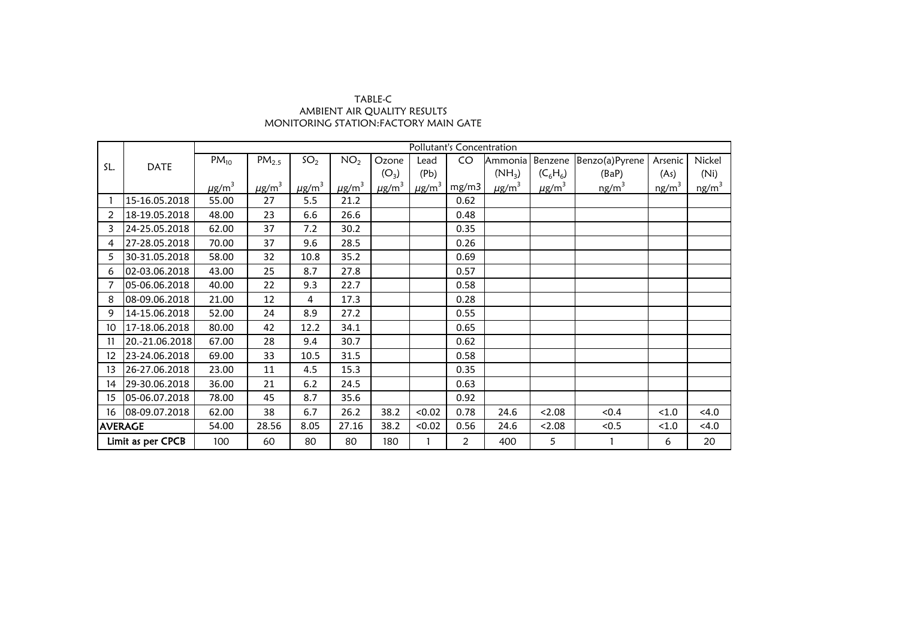## AMBIENT AIR QUALITY RESULTS MONITORING STATION:FACTORY MAIN GATE TABLE-C

|                   |                | Pollutant's Concentration |                        |                        |                        |                        |                        |                |                        |                        |                   |                   |          |
|-------------------|----------------|---------------------------|------------------------|------------------------|------------------------|------------------------|------------------------|----------------|------------------------|------------------------|-------------------|-------------------|----------|
| SL.               | <b>DATE</b>    | $PM_{10}$                 | PM <sub>2.5</sub>      | SO <sub>2</sub>        | NO <sub>2</sub>        | Ozone                  | Lead                   | CO             | Ammonia                | Benzene                | Benzo(a)Pyrene    | Arsenic           | Nickel   |
|                   |                |                           |                        |                        |                        | $(O_3)$                | (Pb)                   |                | $(NH_3)$               | $(C_6H_6)$             | (BaP)             | (As)              | (Ni)     |
|                   |                | $\mu$ g/m <sup>3</sup>    | $\mu$ g/m <sup>3</sup> | $\mu$ g/m <sup>3</sup> | $\mu$ g/m <sup>3</sup> | $\mu$ g/m <sup>3</sup> | $\mu$ g/m <sup>3</sup> | mg/m3          | $\mu$ g/m <sup>3</sup> | $\mu$ g/m <sup>3</sup> | ng/m <sup>3</sup> | ng/m <sup>3</sup> | $ng/m^3$ |
|                   | 15-16.05.2018  | 55.00                     | 27                     | 5.5                    | 21.2                   |                        |                        | 0.62           |                        |                        |                   |                   |          |
| 2                 | 18-19.05.2018  | 48.00                     | 23                     | 6.6                    | 26.6                   |                        |                        | 0.48           |                        |                        |                   |                   |          |
| 3                 | 24-25.05.2018  | 62.00                     | 37                     | 7.2                    | 30.2                   |                        |                        | 0.35           |                        |                        |                   |                   |          |
| 4                 | 27-28.05.2018  | 70.00                     | 37                     | 9.6                    | 28.5                   |                        |                        | 0.26           |                        |                        |                   |                   |          |
| 5                 | 30-31.05.2018  | 58.00                     | 32                     | 10.8                   | 35.2                   |                        |                        | 0.69           |                        |                        |                   |                   |          |
| 6                 | 02-03.06.2018  | 43.00                     | 25                     | 8.7                    | 27.8                   |                        |                        | 0.57           |                        |                        |                   |                   |          |
|                   | 05-06.06.2018  | 40.00                     | 22                     | 9.3                    | 22.7                   |                        |                        | 0.58           |                        |                        |                   |                   |          |
| 8                 | 08-09.06.2018  | 21.00                     | 12                     | 4                      | 17.3                   |                        |                        | 0.28           |                        |                        |                   |                   |          |
| 9                 | 14-15.06.2018  | 52.00                     | 24                     | 8.9                    | 27.2                   |                        |                        | 0.55           |                        |                        |                   |                   |          |
| 10                | 17-18.06.2018  | 80.00                     | 42                     | 12.2                   | 34.1                   |                        |                        | 0.65           |                        |                        |                   |                   |          |
| 11                | 20.-21.06.2018 | 67.00                     | 28                     | 9.4                    | 30.7                   |                        |                        | 0.62           |                        |                        |                   |                   |          |
| 12                | 23-24.06.2018  | 69.00                     | 33                     | 10.5                   | 31.5                   |                        |                        | 0.58           |                        |                        |                   |                   |          |
| 13                | 26-27.06.2018  | 23.00                     | 11                     | 4.5                    | 15.3                   |                        |                        | 0.35           |                        |                        |                   |                   |          |
| 14                | 29-30.06.2018  | 36.00                     | 21                     | 6.2                    | 24.5                   |                        |                        | 0.63           |                        |                        |                   |                   |          |
| 15                | 05-06.07.2018  | 78.00                     | 45                     | 8.7                    | 35.6                   |                        |                        | 0.92           |                        |                        |                   |                   |          |
| 16                | 08-09.07.2018  | 62.00                     | 38                     | 6.7                    | 26.2                   | 38.2                   | < 0.02                 | 0.78           | 24.6                   | < 2.08                 | < 0.4             | < 1.0             | < 4.0    |
| <b>AVERAGE</b>    |                | 54.00                     | 28.56                  | 8.05                   | 27.16                  | 38.2                   | < 0.02                 | 0.56           | 24.6                   | 2.08                   | < 0.5             | < 1.0             | < 4.0    |
| Limit as per CPCB |                | 100                       | 60                     | 80                     | 80                     | 180                    |                        | $\overline{2}$ | 400                    | 5                      |                   | 6                 | 20       |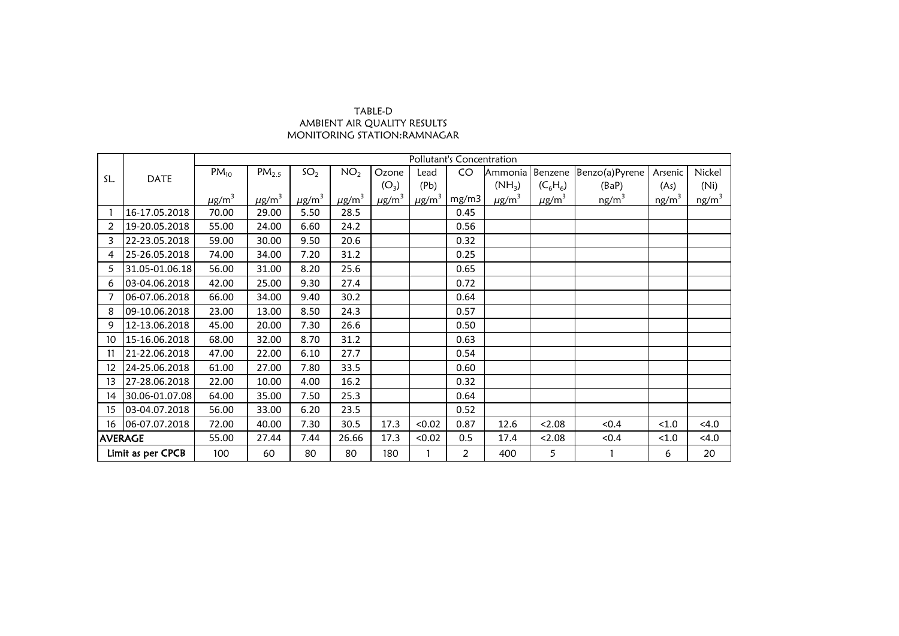## TABLE-D AMBIENT AIR QUALITY RESULTS MONITORING STATION:RAMNAGAR

|                 |                   | Pollutant's Concentration |                        |                        |                        |         |                                               |                |                        |                        |                   |                   |          |  |
|-----------------|-------------------|---------------------------|------------------------|------------------------|------------------------|---------|-----------------------------------------------|----------------|------------------------|------------------------|-------------------|-------------------|----------|--|
| SL.             | <b>DATE</b>       | $PM_{10}$                 | PM <sub>2.5</sub>      | SO <sub>2</sub>        | NO <sub>2</sub>        | Ozone   | Lead                                          | CO             | Ammonia                | Benzene                | Benzo(a)Pyrene    | Arsenic           | Nickel   |  |
|                 |                   |                           |                        |                        |                        | $(O_3)$ | (Pb)                                          |                | $(NH_3)$               | $(C_6H_6)$             | (BaP)             | (As)              | (Ni)     |  |
|                 |                   | $\mu$ g/m <sup>3</sup>    | $\mu$ g/m <sup>3</sup> | $\mu$ g/m <sup>3</sup> | $\mu$ g/m <sup>3</sup> |         | $\mu$ g/m <sup>3</sup> $\mu$ g/m <sup>3</sup> | mg/m3          | $\mu$ g/m <sup>3</sup> | $\mu$ g/m <sup>3</sup> | ng/m <sup>3</sup> | ng/m <sup>3</sup> | $ng/m^3$ |  |
|                 | 16-17.05.2018     | 70.00                     | 29.00                  | 5.50                   | 28.5                   |         |                                               | 0.45           |                        |                        |                   |                   |          |  |
| $\overline{2}$  | 19-20.05.2018     | 55.00                     | 24.00                  | 6.60                   | 24.2                   |         |                                               | 0.56           |                        |                        |                   |                   |          |  |
| 3               | 22-23.05.2018     | 59.00                     | 30.00                  | 9.50                   | 20.6                   |         |                                               | 0.32           |                        |                        |                   |                   |          |  |
| 4               | 25-26.05.2018     | 74.00                     | 34.00                  | 7.20                   | 31.2                   |         |                                               | 0.25           |                        |                        |                   |                   |          |  |
| 5               | 31.05-01.06.18    | 56.00                     | 31.00                  | 8.20                   | 25.6                   |         |                                               | 0.65           |                        |                        |                   |                   |          |  |
| 6               | 03-04.06.2018     | 42.00                     | 25.00                  | 9.30                   | 27.4                   |         |                                               | 0.72           |                        |                        |                   |                   |          |  |
|                 | 06-07.06.2018     | 66.00                     | 34.00                  | 9.40                   | 30.2                   |         |                                               | 0.64           |                        |                        |                   |                   |          |  |
| 8               | 09-10.06.2018     | 23.00                     | 13.00                  | 8.50                   | 24.3                   |         |                                               | 0.57           |                        |                        |                   |                   |          |  |
| 9               | 12-13.06.2018     | 45.00                     | 20.00                  | 7.30                   | 26.6                   |         |                                               | 0.50           |                        |                        |                   |                   |          |  |
| 10              | 15-16.06.2018     | 68.00                     | 32.00                  | 8.70                   | 31.2                   |         |                                               | 0.63           |                        |                        |                   |                   |          |  |
| 11              | 21-22.06.2018     | 47.00                     | 22.00                  | 6.10                   | 27.7                   |         |                                               | 0.54           |                        |                        |                   |                   |          |  |
| 12 <sup>°</sup> | 24-25.06.2018     | 61.00                     | 27.00                  | 7.80                   | 33.5                   |         |                                               | 0.60           |                        |                        |                   |                   |          |  |
| 13              | 27-28.06.2018     | 22.00                     | 10.00                  | 4.00                   | 16.2                   |         |                                               | 0.32           |                        |                        |                   |                   |          |  |
| 14              | 30.06-01.07.08    | 64.00                     | 35.00                  | 7.50                   | 25.3                   |         |                                               | 0.64           |                        |                        |                   |                   |          |  |
| 15              | 03-04.07.2018     | 56.00                     | 33.00                  | 6.20                   | 23.5                   |         |                                               | 0.52           |                        |                        |                   |                   |          |  |
| 16              | 06-07.07.2018     | 72.00                     | 40.00                  | 7.30                   | 30.5                   | 17.3    | < 0.02                                        | 0.87           | 12.6                   | 2.08                   | < 0.4             | $<1.0$            | < 4.0    |  |
| <b>AVERAGE</b>  |                   | 55.00                     | 27.44                  | 7.44                   | 26.66                  | 17.3    | < 0.02                                        | 0.5            | 17.4                   | < 2.08                 | < 0.4             | < 1.0             | < 4.0    |  |
|                 | Limit as per CPCB | 100                       | 60                     | 80                     | 80                     | 180     |                                               | $\overline{2}$ | 400                    | 5                      |                   | 6                 | 20       |  |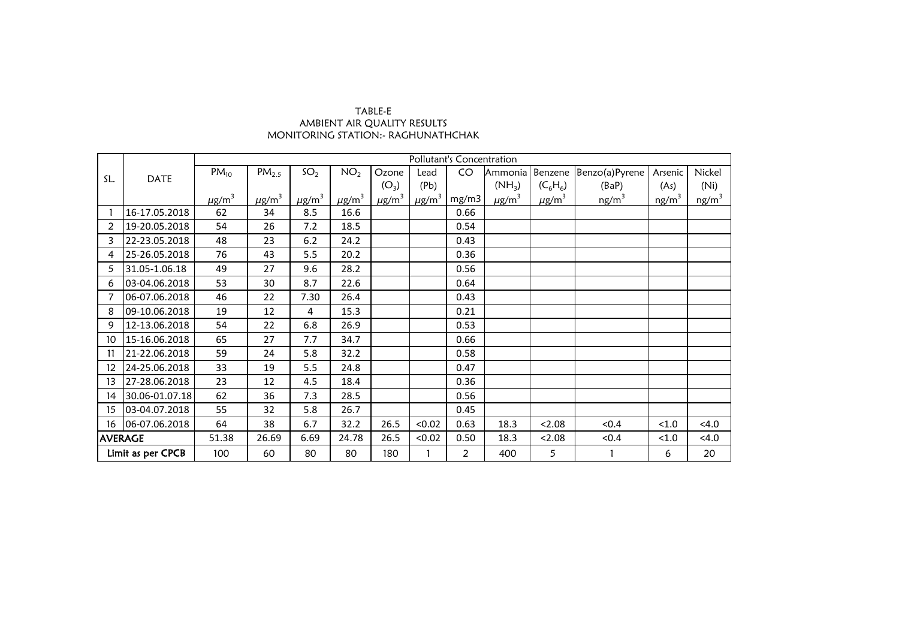## TABLE-E AMBIENT AIR QUALITY RESULTS MONITORING STATION:- RAGHUNATHCHAK

|                   |                   | Pollutant's Concentration |                        |                        |                        |                        |                        |                |                        |                        |                   |                   |                   |  |
|-------------------|-------------------|---------------------------|------------------------|------------------------|------------------------|------------------------|------------------------|----------------|------------------------|------------------------|-------------------|-------------------|-------------------|--|
| SL.               | <b>DATE</b>       | $PM_{10}$                 | PM <sub>2.5</sub>      | SO <sub>2</sub>        | NO <sub>2</sub>        | Ozone                  | Lead                   | CO             | Ammonia                | Benzene                | Benzo(a)Pyrene    | Arsenic           | Nickel            |  |
|                   |                   |                           |                        |                        |                        | $(O_3)$                | (Pb)                   |                | $(NH_3)$               | $(C_6H_6)$             | (BaP)             | (As)              | (Ni)              |  |
|                   |                   | $\mu$ g/m <sup>3</sup>    | $\mu$ g/m <sup>3</sup> | $\mu$ g/m <sup>3</sup> | $\mu$ g/m <sup>3</sup> | $\mu$ g/m <sup>3</sup> | $\mu$ g/m <sup>3</sup> | mg/m3          | $\mu$ g/m <sup>3</sup> | $\mu$ g/m <sup>3</sup> | ng/m <sup>3</sup> | ng/m <sup>3</sup> | ng/m <sup>3</sup> |  |
|                   | 16-17.05.2018     | 62                        | 34                     | 8.5                    | 16.6                   |                        |                        | 0.66           |                        |                        |                   |                   |                   |  |
| $\overline{2}$    | 19-20.05.2018     | 54                        | 26                     | 7.2                    | 18.5                   |                        |                        | 0.54           |                        |                        |                   |                   |                   |  |
| 3                 | 22-23.05.2018     | 48                        | 23                     | 6.2                    | 24.2                   |                        |                        | 0.43           |                        |                        |                   |                   |                   |  |
| 4                 | 25-26.05.2018     | 76                        | 43                     | 5.5                    | 20.2                   |                        |                        | 0.36           |                        |                        |                   |                   |                   |  |
| 5                 | 31.05-1.06.18     | 49                        | 27                     | 9.6                    | 28.2                   |                        |                        | 0.56           |                        |                        |                   |                   |                   |  |
| 6                 | 03-04.06.2018     | 53                        | 30                     | 8.7                    | 22.6                   |                        |                        | 0.64           |                        |                        |                   |                   |                   |  |
|                   | 06-07.06.2018     | 46                        | 22                     | 7.30                   | 26.4                   |                        |                        | 0.43           |                        |                        |                   |                   |                   |  |
| 8                 | 09-10.06.2018     | 19                        | 12                     | 4                      | 15.3                   |                        |                        | 0.21           |                        |                        |                   |                   |                   |  |
| 9                 | 12-13.06.2018     | 54                        | 22                     | 6.8                    | 26.9                   |                        |                        | 0.53           |                        |                        |                   |                   |                   |  |
| 10                | 15-16.06.2018     | 65                        | 27                     | 7.7                    | 34.7                   |                        |                        | 0.66           |                        |                        |                   |                   |                   |  |
| 11                | 21-22.06.2018     | 59                        | 24                     | 5.8                    | 32.2                   |                        |                        | 0.58           |                        |                        |                   |                   |                   |  |
| $12 \overline{ }$ | 24-25.06.2018     | 33                        | 19                     | 5.5                    | 24.8                   |                        |                        | 0.47           |                        |                        |                   |                   |                   |  |
| 13                | 27-28.06.2018     | 23                        | 12                     | 4.5                    | 18.4                   |                        |                        | 0.36           |                        |                        |                   |                   |                   |  |
| 14                | 30.06-01.07.18    | 62                        | 36                     | 7.3                    | 28.5                   |                        |                        | 0.56           |                        |                        |                   |                   |                   |  |
| 15                | 03-04.07.2018     | 55                        | 32                     | 5.8                    | 26.7                   |                        |                        | 0.45           |                        |                        |                   |                   |                   |  |
| 16                | 06-07.06.2018     | 64                        | 38                     | 6.7                    | 32.2                   | 26.5                   | < 0.02                 | 0.63           | 18.3                   | < 2.08                 | < 0.4             | < 1.0             | < 4.0             |  |
|                   | <b>AVERAGE</b>    | 51.38                     | 26.69                  | 6.69                   | 24.78                  | 26.5                   | < 0.02                 | 0.50           | 18.3                   | < 2.08                 | < 0.4             | < 1.0             | < 4.0             |  |
|                   | Limit as per CPCB | 100                       | 60                     | 80                     | 80                     | 180                    |                        | $\overline{2}$ | 400                    | 5                      |                   | 6                 | 20                |  |